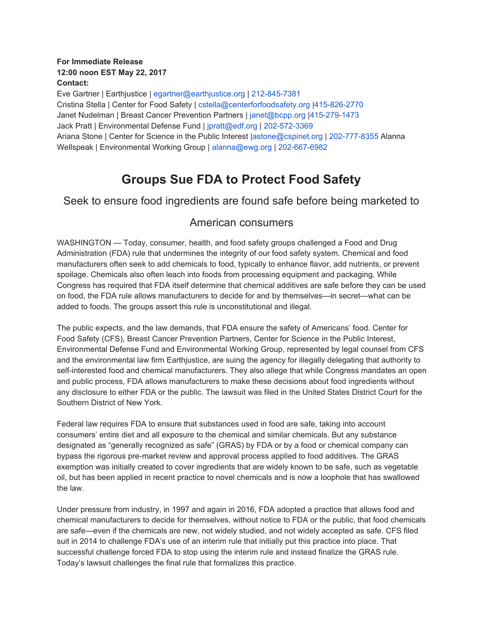#### **For Immediate Release 12:00 noon EST May 22, 2017 Contact:**

Eve Gartner | Earthjustice | egartner@earthjustice.org | 212-845-7381 Cristina Stella | Center for Food Safety | cstella@centerforfoodsafety.org |415-826-2770 Janet Nudelman | Breast Cancer Prevention Partners | janet@bcpp.org |415-279-1473 Jack Pratt | Environmental Defense Fund | jpratt@edf.org | 202-572-3369 Ariana Stone | Center for Science in the Public Interest |astone@cspinet.org | 202-777-8355 Alanna Wellspeak | Environmental Working Group | alanna@ewg.org | 202-667-6982

# **Groups Sue FDA to Protect Food Safety**

## Seek to ensure food ingredients are found safe before being marketed to

## American consumers

WASHINGTON — Today, consumer, health, and food safety groups challenged a Food and Drug Administration (FDA) rule that undermines the integrity of our food safety system. Chemical and food manufacturers often seek to add chemicals to food, typically to enhance flavor, add nutrients, or prevent spoilage. Chemicals also often leach into foods from processing equipment and packaging. While Congress has required that FDA itself determine that chemical additives are safe before they can be used on food, the FDA rule allows manufacturers to decide for and by themselves—in secret—what can be added to foods. The groups assert this rule is unconstitutional and illegal.

The public expects, and the law demands, that FDA ensure the safety of Americans' food. Center for Food Safety (CFS), Breast Cancer Prevention Partners, Center for Science in the Public Interest, Environmental Defense Fund and Environmental Working Group, represented by legal counsel from CFS and the environmental law firm Earthjustice, are suing the agency for illegally delegating that authority to self-interested food and chemical manufacturers. They also allege that while Congress mandates an open and public process, FDA allows manufacturers to make these decisions about food ingredients without any disclosure to either FDA or the public. The lawsuit was filed in the United States District Court for the Southern District of New York.

Federal law requires FDA to ensure that substances used in food are safe, taking into account consumers' entire diet and all exposure to the chemical and similar chemicals. But any substance designated as "generally recognized as safe" (GRAS) by FDA or by a food or chemical company can bypass the rigorous pre-market review and approval process applied to food additives. The GRAS exemption was initially created to cover ingredients that are widely known to be safe, such as vegetable oil, but has been applied in recent practice to novel chemicals and is now a loophole that has swallowed the law.

Under pressure from industry, in 1997 and again in 2016, FDA adopted a practice that allows food and chemical manufacturers to decide for themselves, without notice to FDA or the public, that food chemicals are safe—even if the chemicals are new, not widely studied, and not widely accepted as safe. CFS filed suit in 2014 to challenge FDA's use of an interim rule that initially put this practice into place. That successful challenge forced FDA to stop using the interim rule and instead finalize the GRAS rule. Today's lawsuit challenges the final rule that formalizes this practice.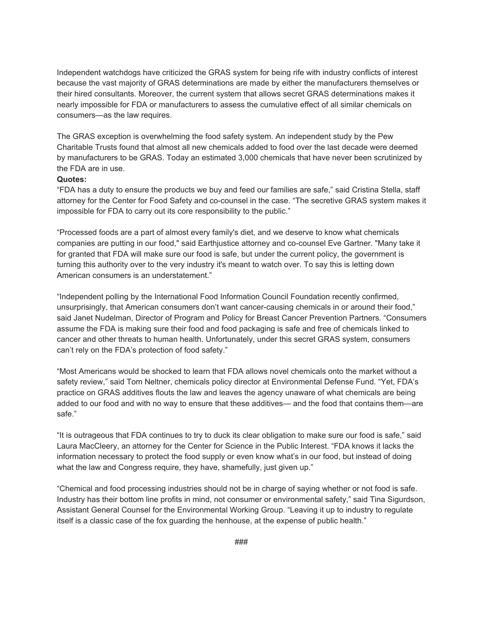Independent watchdogs have criticized the GRAS system for being rife with industry conflicts of interest because the vast majority of GRAS determinations are made by either the manufacturers themselves or their hired consultants. Moreover, the current system that allows secret GRAS determinations makes it nearly impossible for FDA or manufacturers to assess the cumulative effect of all similar chemicals on consumers—as the law requires.

The GRAS exception is overwhelming the food safety system. An independent study by the Pew Charitable Trusts found that almost all new chemicals added to food over the last decade were deemed by manufacturers to be GRAS. Today an estimated 3,000 chemicals that have never been scrutinized by the FDA are in use.

#### **Quotes:**

"FDA has a duty to ensure the products we buy and feed our families are safe," said Cristina Stella, staff attorney for the Center for Food Safety and co-counsel in the case. "The secretive GRAS system makes it impossible for FDA to carry out its core responsibility to the public."

"Processed foods are a part of almost every family's diet, and we deserve to know what chemicals companies are putting in our food," said Earthjustice attorney and co-counsel Eve Gartner. "Many take it for granted that FDA will make sure our food is safe, but under the current policy, the government is turning this authority over to the very industry it's meant to watch over. To say this is letting down American consumers is an understatement."

"Independent polling by the International Food Information Council Foundation recently confirmed, unsurprisingly, that American consumers don't want cancer-causing chemicals in or around their food," said Janet Nudelman, Director of Program and Policy for Breast Cancer Prevention Partners. "Consumers assume the FDA is making sure their food and food packaging is safe and free of chemicals linked to cancer and other threats to human health. Unfortunately, under this secret GRAS system, consumers can't rely on the FDA's protection of food safety."

"Most Americans would be shocked to learn that FDA allows novel chemicals onto the market without a safety review," said Tom Neltner, chemicals policy director at Environmental Defense Fund. "Yet, FDA's practice on GRAS additives flouts the law and leaves the agency unaware of what chemicals are being added to our food and with no way to ensure that these additives— and the food that contains them—are safe."

"It is outrageous that FDA continues to try to duck its clear obligation to make sure our food is safe," said Laura MacCleery, an attorney for the Center for Science in the Public Interest. "FDA knows it lacks the information necessary to protect the food supply or even know what's in our food, but instead of doing what the law and Congress require, they have, shamefully, just given up."

"Chemical and food processing industries should not be in charge of saying whether or not food is safe. Industry has their bottom line profits in mind, not consumer or environmental safety," said Tina Sigurdson, Assistant General Counsel for the Environmental Working Group. "Leaving it up to industry to regulate itself is a classic case of the fox guarding the henhouse, at the expense of public health."